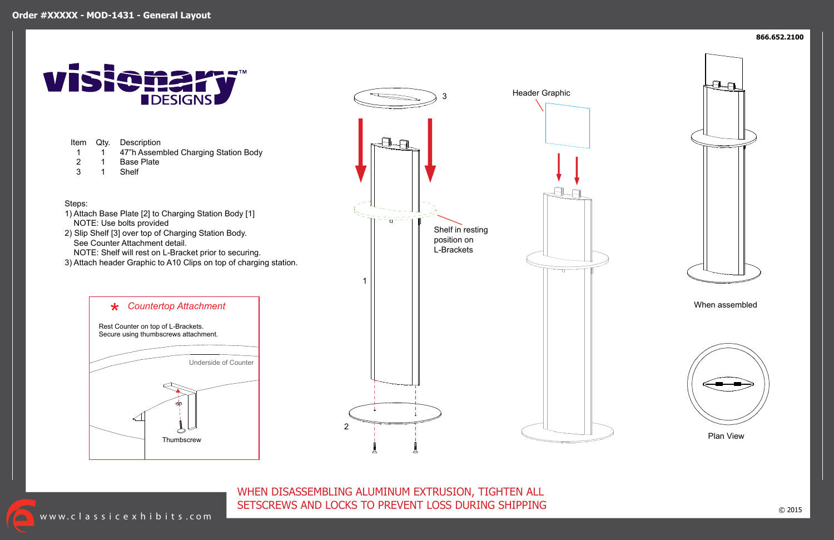WHEN DISASSEMBLING ALUMINUM EXTRUSION, TIGHTEN ALL SETSCREWS AND LOCKS TO PREVENT LOSS DURING SHIPPING

www.classicexhibits.com



# **IDESIGNS**

Item Qty. 1 2 3 1 1 1 **Description** 47"h Assembled Charging Station Body Base Plate Shelf Steps: 1) Attach Base Plate [2] to Charging Station Body [1] NOTE: Use bolts provided 2) Slip Shelf [3] over top of Charging Station Body.



- See Counter Attachment detail.
- NOTE: Shelf will rest on L-Bracket prior to securing.
- 3) Attach header Graphic to A10 Clips on top of charging station.

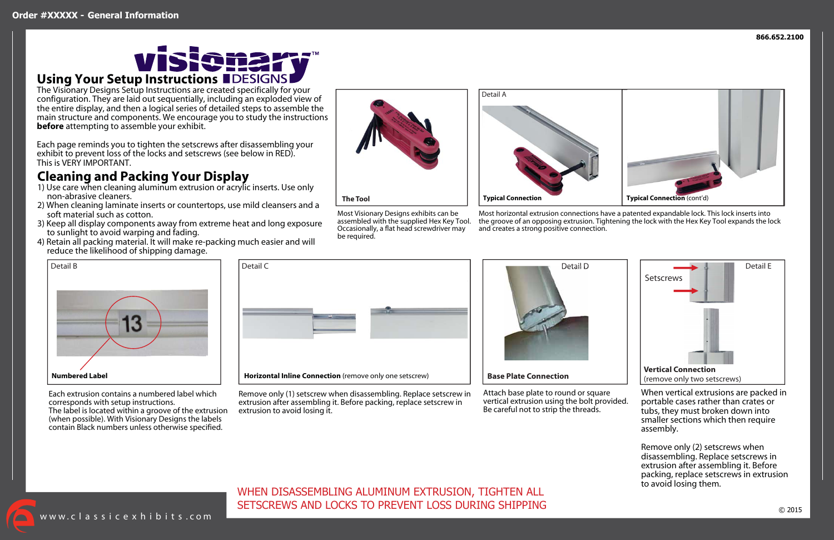www. classic exhibits .com

**866.652.2100**

## WHEN DISASSEMBLING ALUMINUM EXTRUSION, TIGHTEN ALL SETSCREWS AND LOCKS TO PREVENT LOSS DURING SHIPPING



Most Visionary Designs exhibits can be assembled with the supplied Hex Key Tool. Occasionally, a flat head screwdriver may be required.

Most horizontal extrusion connections have a patented expandable lock. This lock inserts into the groove of an opposing extrusion. Tightening the lock with the Hex Key Tool expands the lock and creates a strong positive connection.

Remove only (1) setscrew when disassembling. Replace setscrew in extrusion after assembling it. Before packing, replace setscrew in extrusion to avoid losing it.



Attach base plate to round or square vertical extrusion using the bolt provided. Be careful not to strip the threads.

## **Using Your Setup Instructions**





The Visionary Designs Setup Instructions are created specifically for your configuration. They are laid out sequentially, including an exploded view of the entire display, and then a logical series of detailed steps to assemble the main structure and components. We encourage you to study the instructions **before** attempting to assemble your exhibit.

Each page reminds you to tighten the setscrews after disassembling your exhibit to prevent loss of the locks and setscrews (see below in RED). This is VERY IMPORTANT.

## **Cleaning and Packing Your Display**

- 1) Use care when cleaning aluminum extrusion or acrylic inserts. Use only non-abrasive cleaners.
- 2) When cleaning laminate inserts or countertops, use mild cleansers and a soft material such as cotton.
- 3) Keep all display components away from extreme heat and long exposure to sunlight to avoid warping and fading.
- 4) Retain all packing material. It will make re-packing much easier and will reduce the likelihood of shipping damage.





Each extrusion contains a numbered label which corresponds with setup instructions. The label is located within a groove of the extrusion (when possible). With Visionary Designs the labels contain Black numbers unless otherwise specified.